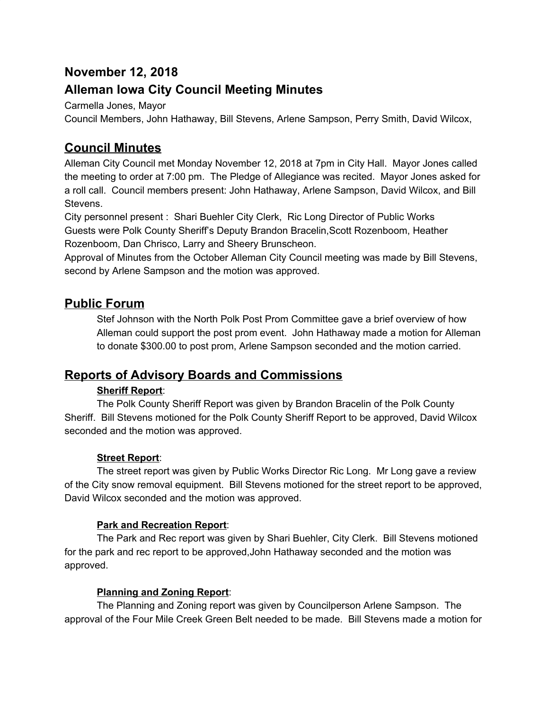# **November 12, 2018**

# **Alleman Iowa City Council Meeting Minutes**

Carmella Jones, Mayor

Council Members, John Hathaway, Bill Stevens, Arlene Sampson, Perry Smith, David Wilcox,

# **Council Minutes**

Alleman City Council met Monday November 12, 2018 at 7pm in City Hall. Mayor Jones called the meeting to order at 7:00 pm. The Pledge of Allegiance was recited. Mayor Jones asked for a roll call. Council members present: John Hathaway, Arlene Sampson, David Wilcox, and Bill Stevens.

City personnel present : Shari Buehler City Clerk, Ric Long Director of Public Works Guests were Polk County Sheriff's Deputy Brandon Bracelin,Scott Rozenboom, Heather Rozenboom, Dan Chrisco, Larry and Sheery Brunscheon.

Approval of Minutes from the October Alleman City Council meeting was made by Bill Stevens, second by Arlene Sampson and the motion was approved.

## **Public Forum**

Stef Johnson with the North Polk Post Prom Committee gave a brief overview of how Alleman could support the post prom event. John Hathaway made a motion for Alleman to donate \$300.00 to post prom, Arlene Sampson seconded and the motion carried.

# **Reports of Advisory Boards and Commissions**

#### **Sheriff Report**:

The Polk County Sheriff Report was given by Brandon Bracelin of the Polk County Sheriff. Bill Stevens motioned for the Polk County Sheriff Report to be approved, David Wilcox seconded and the motion was approved.

## **Street Report**:

The street report was given by Public Works Director Ric Long. Mr Long gave a review of the City snow removal equipment. Bill Stevens motioned for the street report to be approved, David Wilcox seconded and the motion was approved.

#### **Park and Recreation Report**:

The Park and Rec report was given by Shari Buehler, City Clerk. Bill Stevens motioned for the park and rec report to be approved,John Hathaway seconded and the motion was approved.

#### **Planning and Zoning Report**:

The Planning and Zoning report was given by Councilperson Arlene Sampson. The approval of the Four Mile Creek Green Belt needed to be made. Bill Stevens made a motion for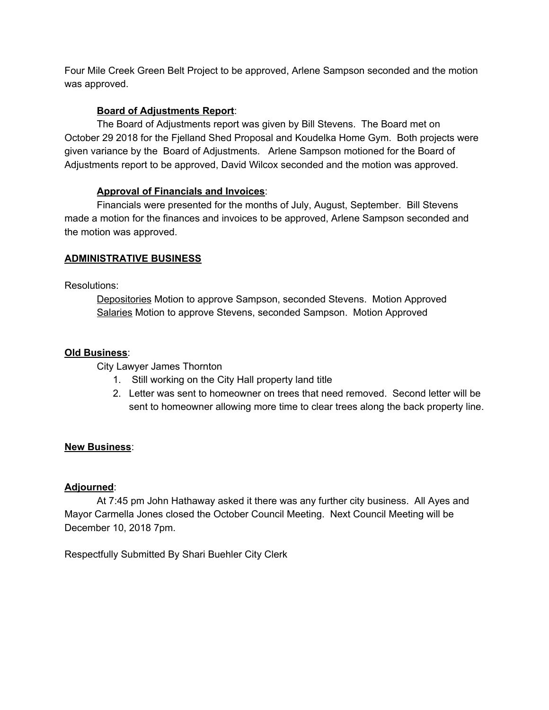Four Mile Creek Green Belt Project to be approved, Arlene Sampson seconded and the motion was approved.

#### **Board of Adjustments Report**:

The Board of Adjustments report was given by Bill Stevens. The Board met on October 29 2018 for the Fjelland Shed Proposal and Koudelka Home Gym. Both projects were given variance by the Board of Adjustments. Arlene Sampson motioned for the Board of Adjustments report to be approved, David Wilcox seconded and the motion was approved.

#### **Approval of Financials and Invoices**:

Financials were presented for the months of July, August, September. Bill Stevens made a motion for the finances and invoices to be approved, Arlene Sampson seconded and the motion was approved.

#### **ADMINISTRATIVE BUSINESS**

#### Resolutions:

Depositories Motion to approve Sampson, seconded Stevens. Motion Approved Salaries Motion to approve Stevens, seconded Sampson. Motion Approved

#### **Old Business**:

City Lawyer James Thornton

- 1. Still working on the City Hall property land title
- 2. Letter was sent to homeowner on trees that need removed. Second letter will be sent to homeowner allowing more time to clear trees along the back property line.

#### **New Business**:

#### **Adjourned**:

At 7:45 pm John Hathaway asked it there was any further city business. All Ayes and Mayor Carmella Jones closed the October Council Meeting. Next Council Meeting will be December 10, 2018 7pm.

Respectfully Submitted By Shari Buehler City Clerk